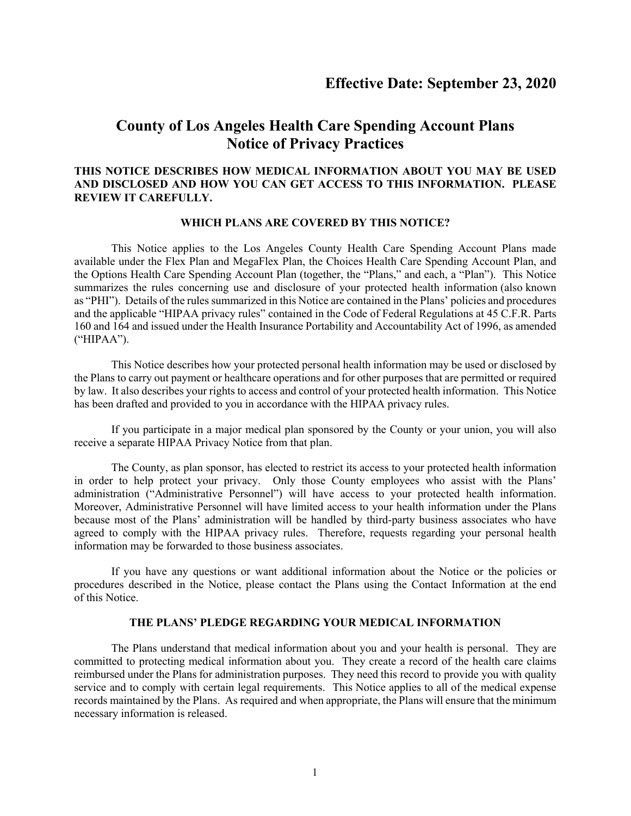# **County of Los Angeles Health Care Spending Account Plans Notice of Privacy Practices**

# **THIS NOTICE DESCRIBES HOW MEDICAL INFORMATION ABOUT YOU MAY BE USED AND DISCLOSED AND HOW YOU CAN GET ACCESS TO THIS INFORMATION. PLEASE REVIEW IT CAREFULLY.**

# **WHICH PLANS ARE COVERED BY THIS NOTICE?**

This Notice applies to the Los Angeles County Health Care Spending Account Plans made available under the Flex Plan and MegaFlex Plan, the Choices Health Care Spending Account Plan, and the Options Health Care Spending Account Plan (together, the "Plans," and each, a "Plan"). This Notice summarizes the rules concerning use and disclosure of your protected health information (also known as "PHI"). Details of the rules summarized in this Notice are contained in the Plans' policies and procedures and the applicable "HIPAA privacy rules" contained in the Code of Federal Regulations at 45 C.F.R. Parts 160 and 164 and issued under the Health Insurance Portability and Accountability Act of 1996, as amended ("HIPAA").

This Notice describes how your protected personal health information may be used or disclosed by the Plans to carry out payment or healthcare operations and for other purposes that are permitted or required by law. It also describes your rights to access and control of your protected health information. This Notice has been drafted and provided to you in accordance with the HIPAA privacy rules.

If you participate in a major medical plan sponsored by the County or your union, you will also receive a separate HIPAA Privacy Notice from that plan.

The County, as plan sponsor, has elected to restrict its access to your protected health information in order to help protect your privacy. Only those County employees who assist with the Plans' administration ("Administrative Personnel") will have access to your protected health information. Moreover, Administrative Personnel will have limited access to your health information under the Plans because most of the Plans' administration will be handled by third-party business associates who have agreed to comply with the HIPAA privacy rules. Therefore, requests regarding your personal health information may be forwarded to those business associates.

If you have any questions or want additional information about the Notice or the policies or procedures described in the Notice, please contact the Plans using the Contact Information at the end of this Notice.

# **THE PLANS' PLEDGE REGARDING YOUR MEDICAL INFORMATION**

The Plans understand that medical information about you and your health is personal. They are committed to protecting medical information about you. They create a record of the health care claims reimbursed under the Plans for administration purposes. They need this record to provide you with quality service and to comply with certain legal requirements. This Notice applies to all of the medical expense records maintained by the Plans. As required and when appropriate, the Plans will ensure that the minimum necessary information is released.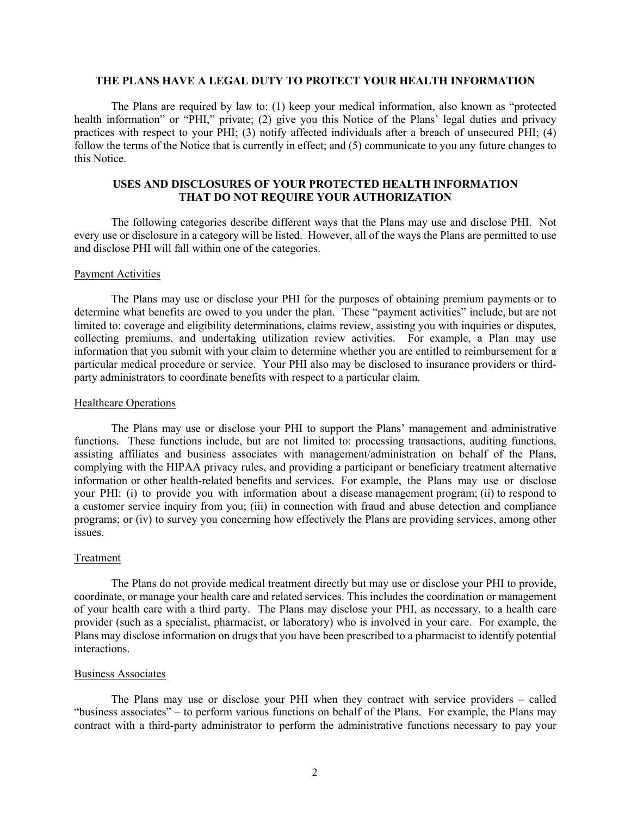# **THE PLANS HAVE A LEGAL DUTY TO PROTECT YOUR HEALTH INFORMATION**

The Plans are required by law to: (1) keep your medical information, also known as "protected health information" or "PHI," private; (2) give you this Notice of the Plans' legal duties and privacy practices with respect to your PHI; (3) notify affected individuals after a breach of unsecured PHI; (4) follow the terms of the Notice that is currently in effect; and (5) communicate to you any future changes to this Notice.

# **USES AND DISCLOSURES OF YOUR PROTECTED HEALTH INFORMATION THAT DO NOT REQUIRE YOUR AUTHORIZATION**

The following categories describe different ways that the Plans may use and disclose PHI. Not every use or disclosure in a category will be listed. However, all of the ways the Plans are permitted to use and disclose PHI will fall within one of the categories.

## Payment Activities

The Plans may use or disclose your PHI for the purposes of obtaining premium payments or to determine what benefits are owed to you under the plan. These "payment activities" include, but are not limited to: coverage and eligibility determinations, claims review, assisting you with inquiries or disputes, collecting premiums, and undertaking utilization review activities. For example, a Plan may use information that you submit with your claim to determine whether you are entitled to reimbursement for a particular medical procedure or service. Your PHI also may be disclosed to insurance providers or thirdparty administrators to coordinate benefits with respect to a particular claim.

## Healthcare Operations

The Plans may use or disclose your PHI to support the Plans' management and administrative functions. These functions include, but are not limited to: processing transactions, auditing functions, assisting affiliates and business associates with management/administration on behalf of the Plans, complying with the HIPAA privacy rules, and providing a participant or beneficiary treatment alternative information or other health-related benefits and services. For example, the Plans may use or disclose your PHI: (i) to provide you with information about a disease management program; (ii) to respond to a customer service inquiry from you; (iii) in connection with fraud and abuse detection and compliance programs; or (iv) to survey you concerning how effectively the Plans are providing services, among other issues.

## Treatment

The Plans do not provide medical treatment directly but may use or disclose your PHI to provide, coordinate, or manage your health care and related services. This includes the coordination or management of your health care with a third party. The Plans may disclose your PHI, as necessary, to a health care provider (such as a specialist, pharmacist, or laboratory) who is involved in your care. For example, the Plans may disclose information on drugs that you have been prescribed to a pharmacist to identify potential interactions.

# Business Associates

The Plans may use or disclose your PHI when they contract with service providers – called "business associates" – to perform various functions on behalf of the Plans. For example, the Plans may contract with a third-party administrator to perform the administrative functions necessary to pay your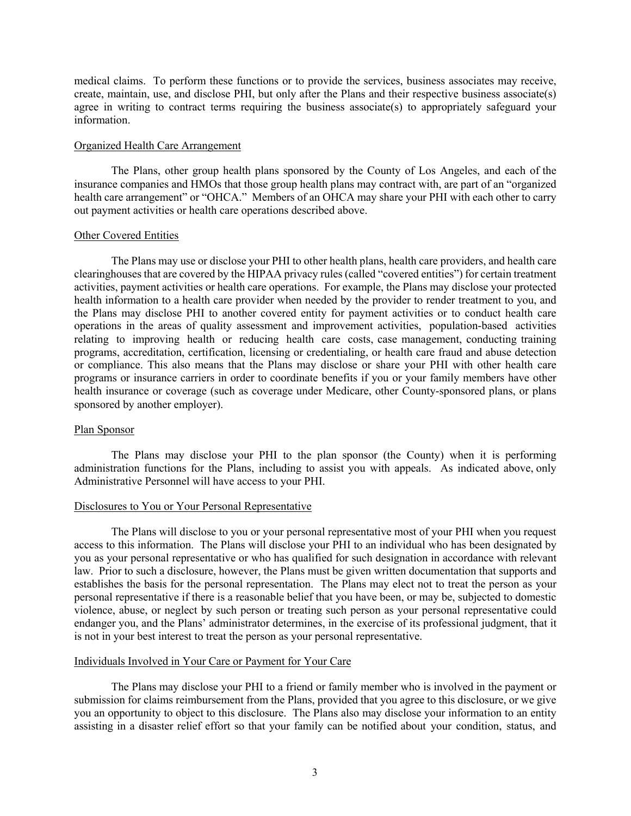medical claims. To perform these functions or to provide the services, business associates may receive, create, maintain, use, and disclose PHI, but only after the Plans and their respective business associate(s) agree in writing to contract terms requiring the business associate(s) to appropriately safeguard your information.

## Organized Health Care Arrangement

The Plans, other group health plans sponsored by the County of Los Angeles, and each of the insurance companies and HMOs that those group health plans may contract with, are part of an "organized health care arrangement" or "OHCA." Members of an OHCA may share your PHI with each other to carry out payment activities or health care operations described above.

# Other Covered Entities

The Plans may use or disclose your PHI to other health plans, health care providers, and health care clearinghouses that are covered by the HIPAA privacy rules (called "covered entities") for certain treatment activities, payment activities or health care operations. For example, the Plans may disclose your protected health information to a health care provider when needed by the provider to render treatment to you, and the Plans may disclose PHI to another covered entity for payment activities or to conduct health care operations in the areas of quality assessment and improvement activities, population-based activities relating to improving health or reducing health care costs, case management, conducting training programs, accreditation, certification, licensing or credentialing, or health care fraud and abuse detection or compliance. This also means that the Plans may disclose or share your PHI with other health care programs or insurance carriers in order to coordinate benefits if you or your family members have other health insurance or coverage (such as coverage under Medicare, other County-sponsored plans, or plans sponsored by another employer).

# Plan Sponsor

The Plans may disclose your PHI to the plan sponsor (the County) when it is performing administration functions for the Plans, including to assist you with appeals. As indicated above, only Administrative Personnel will have access to your PHI.

#### Disclosures to You or Your Personal Representative

The Plans will disclose to you or your personal representative most of your PHI when you request access to this information. The Plans will disclose your PHI to an individual who has been designated by you as your personal representative or who has qualified for such designation in accordance with relevant law. Prior to such a disclosure, however, the Plans must be given written documentation that supports and establishes the basis for the personal representation. The Plans may elect not to treat the person as your personal representative if there is a reasonable belief that you have been, or may be, subjected to domestic violence, abuse, or neglect by such person or treating such person as your personal representative could endanger you, and the Plans' administrator determines, in the exercise of its professional judgment, that it is not in your best interest to treat the person as your personal representative.

# Individuals Involved in Your Care or Payment for Your Care

The Plans may disclose your PHI to a friend or family member who is involved in the payment or submission for claims reimbursement from the Plans, provided that you agree to this disclosure, or we give you an opportunity to object to this disclosure. The Plans also may disclose your information to an entity assisting in a disaster relief effort so that your family can be notified about your condition, status, and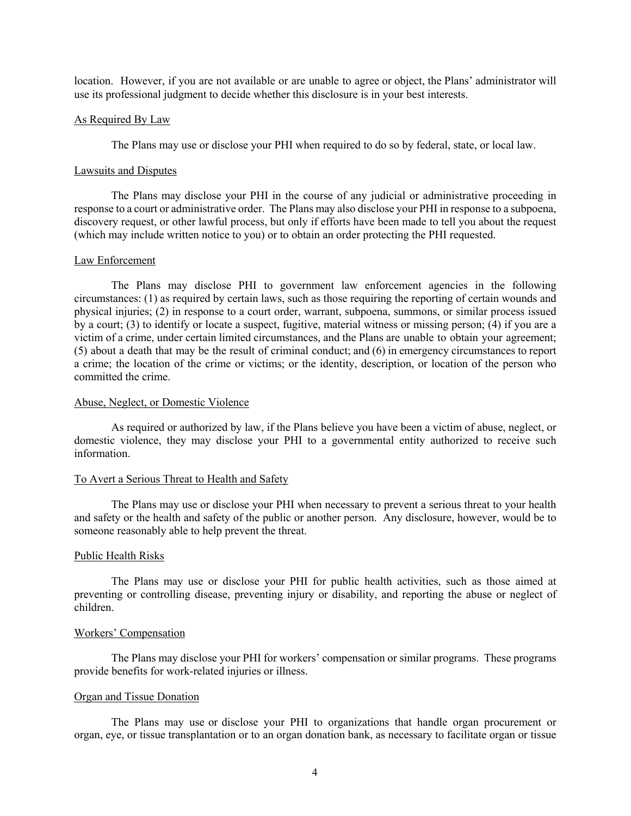location. However, if you are not available or are unable to agree or object, the Plans' administrator will use its professional judgment to decide whether this disclosure is in your best interests.

## As Required By Law

The Plans may use or disclose your PHI when required to do so by federal, state, or local law.

# Lawsuits and Disputes

The Plans may disclose your PHI in the course of any judicial or administrative proceeding in response to a court or administrative order. The Plans may also disclose your PHI in response to a subpoena, discovery request, or other lawful process, but only if efforts have been made to tell you about the request (which may include written notice to you) or to obtain an order protecting the PHI requested.

#### Law Enforcement

The Plans may disclose PHI to government law enforcement agencies in the following circumstances: (1) as required by certain laws, such as those requiring the reporting of certain wounds and physical injuries; (2) in response to a court order, warrant, subpoena, summons, or similar process issued by a court; (3) to identify or locate a suspect, fugitive, material witness or missing person; (4) if you are a victim of a crime, under certain limited circumstances, and the Plans are unable to obtain your agreement; (5) about a death that may be the result of criminal conduct; and (6) in emergency circumstances to report a crime; the location of the crime or victims; or the identity, description, or location of the person who committed the crime.

#### Abuse, Neglect, or Domestic Violence

As required or authorized by law, if the Plans believe you have been a victim of abuse, neglect, or domestic violence, they may disclose your PHI to a governmental entity authorized to receive such information.

#### To Avert a Serious Threat to Health and Safety

The Plans may use or disclose your PHI when necessary to prevent a serious threat to your health and safety or the health and safety of the public or another person. Any disclosure, however, would be to someone reasonably able to help prevent the threat.

## Public Health Risks

The Plans may use or disclose your PHI for public health activities, such as those aimed at preventing or controlling disease, preventing injury or disability, and reporting the abuse or neglect of children.

#### Workers' Compensation

The Plans may disclose your PHI for workers' compensation or similar programs. These programs provide benefits for work-related injuries or illness.

# Organ and Tissue Donation

The Plans may use or disclose your PHI to organizations that handle organ procurement or organ, eye, or tissue transplantation or to an organ donation bank, as necessary to facilitate organ or tissue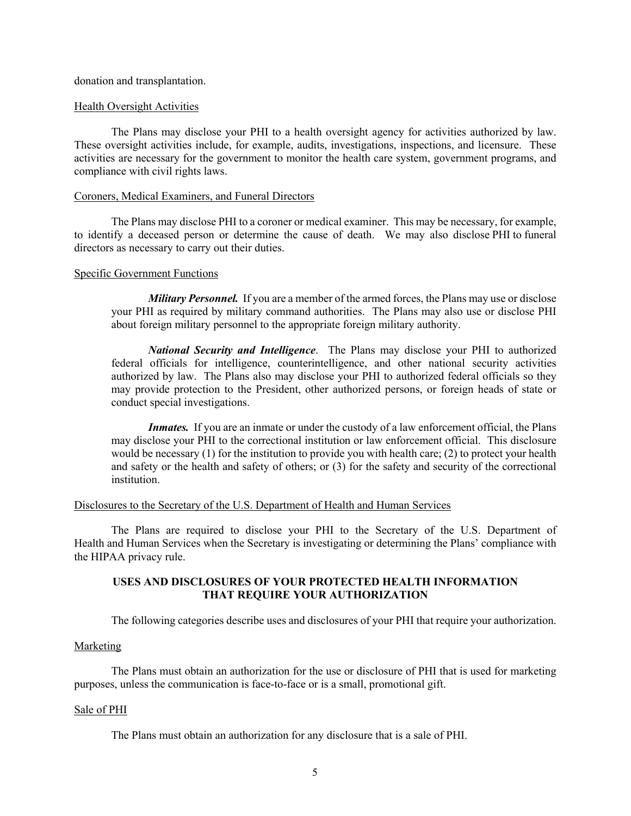donation and transplantation.

## Health Oversight Activities

The Plans may disclose your PHI to a health oversight agency for activities authorized by law. These oversight activities include, for example, audits, investigations, inspections, and licensure. These activities are necessary for the government to monitor the health care system, government programs, and compliance with civil rights laws.

#### Coroners, Medical Examiners, and Funeral Directors

The Plans may disclose PHI to a coroner or medical examiner. This may be necessary, for example, to identify a deceased person or determine the cause of death. We may also disclose PHI to funeral directors as necessary to carry out their duties.

# Specific Government Functions

*Military Personnel.* If you are a member of the armed forces, the Plans may use or disclose your PHI as required by military command authorities. The Plans may also use or disclose PHI about foreign military personnel to the appropriate foreign military authority.

*National Security and Intelligence*. The Plans may disclose your PHI to authorized federal officials for intelligence, counterintelligence, and other national security activities authorized by law. The Plans also may disclose your PHI to authorized federal officials so they may provide protection to the President, other authorized persons, or foreign heads of state or conduct special investigations.

*Inmates.* If you are an inmate or under the custody of a law enforcement official, the Plans may disclose your PHI to the correctional institution or law enforcement official. This disclosure would be necessary (1) for the institution to provide you with health care; (2) to protect your health and safety or the health and safety of others; or (3) for the safety and security of the correctional institution.

## Disclosures to the Secretary of the U.S. Department of Health and Human Services

The Plans are required to disclose your PHI to the Secretary of the U.S. Department of Health and Human Services when the Secretary is investigating or determining the Plans' compliance with the HIPAA privacy rule.

# **USES AND DISCLOSURES OF YOUR PROTECTED HEALTH INFORMATION THAT REQUIRE YOUR AUTHORIZATION**

The following categories describe uses and disclosures of your PHI that require your authorization.

## Marketing

The Plans must obtain an authorization for the use or disclosure of PHI that is used for marketing purposes, unless the communication is face-to-face or is a small, promotional gift.

#### Sale of PHI

The Plans must obtain an authorization for any disclosure that is a sale of PHI.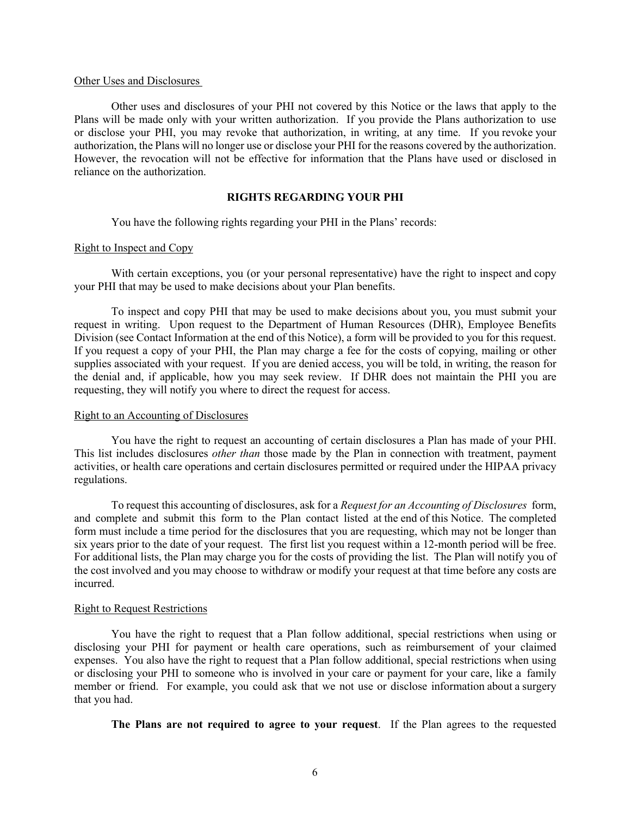#### Other Uses and Disclosures

Other uses and disclosures of your PHI not covered by this Notice or the laws that apply to the Plans will be made only with your written authorization. If you provide the Plans authorization to use or disclose your PHI, you may revoke that authorization, in writing, at any time. If you revoke your authorization, the Plans will no longer use or disclose your PHI for the reasons covered by the authorization. However, the revocation will not be effective for information that the Plans have used or disclosed in reliance on the authorization.

## **RIGHTS REGARDING YOUR PHI**

You have the following rights regarding your PHI in the Plans' records:

## Right to Inspect and Copy

With certain exceptions, you (or your personal representative) have the right to inspect and copy your PHI that may be used to make decisions about your Plan benefits.

To inspect and copy PHI that may be used to make decisions about you, you must submit your request in writing. Upon request to the Department of Human Resources (DHR), Employee Benefits Division (see Contact Information at the end of this Notice), a form will be provided to you for this request. If you request a copy of your PHI, the Plan may charge a fee for the costs of copying, mailing or other supplies associated with your request. If you are denied access, you will be told, in writing, the reason for the denial and, if applicable, how you may seek review. If DHR does not maintain the PHI you are requesting, they will notify you where to direct the request for access.

#### Right to an Accounting of Disclosures

You have the right to request an accounting of certain disclosures a Plan has made of your PHI. This list includes disclosures *other than* those made by the Plan in connection with treatment, payment activities, or health care operations and certain disclosures permitted or required under the HIPAA privacy regulations.

To request this accounting of disclosures, ask for a *Request for an Accounting of Disclosures* form, and complete and submit this form to the Plan contact listed at the end of this Notice. The completed form must include a time period for the disclosures that you are requesting, which may not be longer than six years prior to the date of your request. The first list you request within a 12-month period will be free. For additional lists, the Plan may charge you for the costs of providing the list. The Plan will notify you of the cost involved and you may choose to withdraw or modify your request at that time before any costs are incurred.

# Right to Request Restrictions

You have the right to request that a Plan follow additional, special restrictions when using or disclosing your PHI for payment or health care operations, such as reimbursement of your claimed expenses. You also have the right to request that a Plan follow additional, special restrictions when using or disclosing your PHI to someone who is involved in your care or payment for your care, like a family member or friend. For example, you could ask that we not use or disclose information about a surgery that you had.

**The Plans are not required to agree to your request**. If the Plan agrees to the requested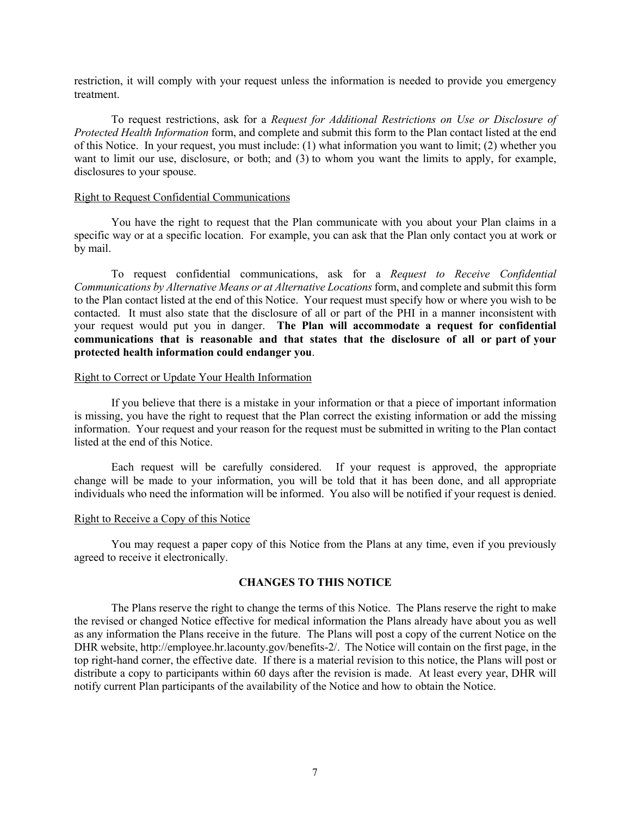restriction, it will comply with your request unless the information is needed to provide you emergency treatment.

To request restrictions, ask for a *Request for Additional Restrictions on Use or Disclosure of Protected Health Information* form, and complete and submit this form to the Plan contact listed at the end of this Notice. In your request, you must include: (1) what information you want to limit; (2) whether you want to limit our use, disclosure, or both; and (3) to whom you want the limits to apply, for example, disclosures to your spouse.

## Right to Request Confidential Communications

You have the right to request that the Plan communicate with you about your Plan claims in a specific way or at a specific location. For example, you can ask that the Plan only contact you at work or by mail.

To request confidential communications, ask for a *Request to Receive Confidential Communications by Alternative Means or at Alternative Locations* form, and complete and submit this form to the Plan contact listed at the end of this Notice. Your request must specify how or where you wish to be contacted. It must also state that the disclosure of all or part of the PHI in a manner inconsistent with your request would put you in danger. **The Plan will accommodate a request for confidential communications that is reasonable and that states that the disclosure of all or part of your protected health information could endanger you**.

## Right to Correct or Update Your Health Information

If you believe that there is a mistake in your information or that a piece of important information is missing, you have the right to request that the Plan correct the existing information or add the missing information. Your request and your reason for the request must be submitted in writing to the Plan contact listed at the end of this Notice.

Each request will be carefully considered. If your request is approved, the appropriate change will be made to your information, you will be told that it has been done, and all appropriate individuals who need the information will be informed. You also will be notified if your request is denied.

## Right to Receive a Copy of this Notice

You may request a paper copy of this Notice from the Plans at any time, even if you previously agreed to receive it electronically.

# **CHANGES TO THIS NOTICE**

The Plans reserve the right to change the terms of this Notice. The Plans reserve the right to make the revised or changed Notice effective for medical information the Plans already have about you as well as any information the Plans receive in the future. The Plans will post a copy of the current Notice on the DHR website, http://employee.hr.lacounty.gov/benefits-2/. The Notice will contain on the first page, in the top right-hand corner, the effective date. If there is a material revision to this notice, the Plans will post or distribute a copy to participants within 60 days after the revision is made. At least every year, DHR will notify current Plan participants of the availability of the Notice and how to obtain the Notice.